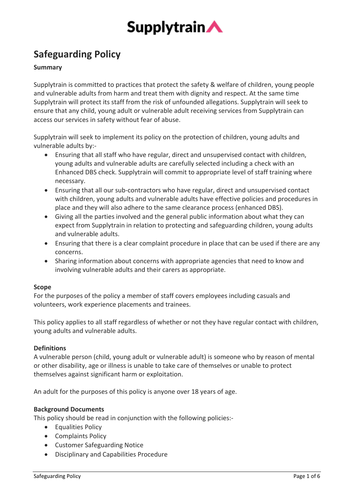

# **Safeguarding Policy**

# **Summary**

Supplytrain is committed to practices that protect the safety & welfare of children, young people and vulnerable adults from harm and treat them with dignity and respect. At the same time Supplytrain will protect its staff from the risk of unfounded allegations. Supplytrain will seek to ensure that any child, young adult or vulnerable adult receiving services from Supplytrain can access our services in safety without fear of abuse.

Supplytrain will seek to implement its policy on the protection of children, young adults and vulnerable adults by:-

- Ensuring that all staff who have regular, direct and unsupervised contact with children, young adults and vulnerable adults are carefully selected including a check with an Enhanced DBS check. Supplytrain will commit to appropriate level of staff training where necessary.
- Ensuring that all our sub-contractors who have regular, direct and unsupervised contact with children, young adults and vulnerable adults have effective policies and procedures in place and they will also adhere to the same clearance process (enhanced DBS).
- Giving all the parties involved and the general public information about what they can expect from Supplytrain in relation to protecting and safeguarding children, young adults and vulnerable adults.
- Ensuring that there is a clear complaint procedure in place that can be used if there are any concerns.
- Sharing information about concerns with appropriate agencies that need to know and involving vulnerable adults and their carers as appropriate.

# **Scope**

For the purposes of the policy a member of staff covers employees including casuals and volunteers, work experience placements and trainees.

This policy applies to all staff regardless of whether or not they have regular contact with children, young adults and vulnerable adults.

# **Definitions**

A vulnerable person (child, young adult or vulnerable adult) is someone who by reason of mental or other disability, age or illness is unable to take care of themselves or unable to protect themselves against significant harm or exploitation.

An adult for the purposes of this policy is anyone over 18 years of age.

# **Background Documents**

This policy should be read in conjunction with the following policies:-

- Equalities Policy
- Complaints Policy
- Customer Safeguarding Notice
- Disciplinary and Capabilities Procedure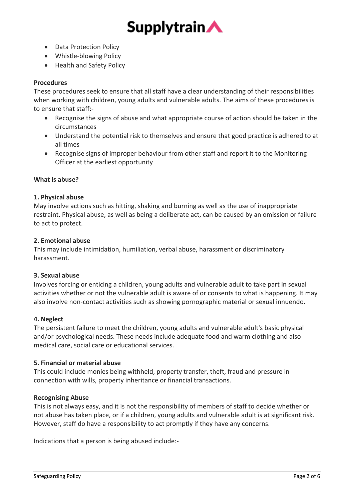

- Data Protection Policy
- Whistle-blowing Policy
- Health and Safety Policy

# **Procedures**

These procedures seek to ensure that all staff have a clear understanding of their responsibilities when working with children, young adults and vulnerable adults. The aims of these procedures is to ensure that staff:-

- Recognise the signs of abuse and what appropriate course of action should be taken in the circumstances
- Understand the potential risk to themselves and ensure that good practice is adhered to at all times
- Recognise signs of improper behaviour from other staff and report it to the Monitoring Officer at the earliest opportunity

# **What is abuse?**

# **1. Physical abuse**

May involve actions such as hitting, shaking and burning as well as the use of inappropriate restraint. Physical abuse, as well as being a deliberate act, can be caused by an omission or failure to act to protect.

# **2. Emotional abuse**

This may include intimidation, humiliation, verbal abuse, harassment or discriminatory harassment.

# **3. Sexual abuse**

Involves forcing or enticing a children, young adults and vulnerable adult to take part in sexual activities whether or not the vulnerable adult is aware of or consents to what is happening. It may also involve non-contact activities such as showing pornographic material or sexual innuendo.

# **4. Neglect**

The persistent failure to meet the children, young adults and vulnerable adult's basic physical and/or psychological needs. These needs include adequate food and warm clothing and also medical care, social care or educational services.

# **5. Financial or material abuse**

This could include monies being withheld, property transfer, theft, fraud and pressure in connection with wills, property inheritance or financial transactions.

# **Recognising Abuse**

This is not always easy, and it is not the responsibility of members of staff to decide whether or not abuse has taken place, or if a children, young adults and vulnerable adult is at significant risk. However, staff do have a responsibility to act promptly if they have any concerns.

Indications that a person is being abused include:-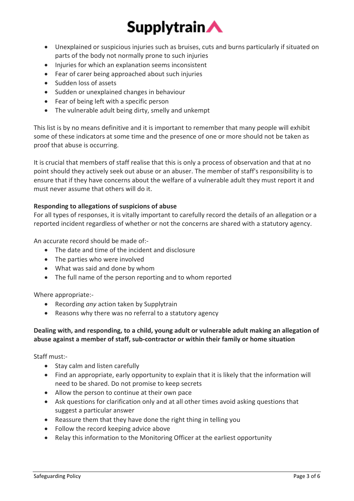# **Supplytrain**

- Unexplained or suspicious injuries such as bruises, cuts and burns particularly if situated on parts of the body not normally prone to such injuries
- Injuries for which an explanation seems inconsistent
- Fear of carer being approached about such injuries
- Sudden loss of assets
- Sudden or unexplained changes in behaviour
- Fear of being left with a specific person
- The vulnerable adult being dirty, smelly and unkempt

This list is by no means definitive and it is important to remember that many people will exhibit some of these indicators at some time and the presence of one or more should not be taken as proof that abuse is occurring.

It is crucial that members of staff realise that this is only a process of observation and that at no point should they actively seek out abuse or an abuser. The member of staff's responsibility is to ensure that if they have concerns about the welfare of a vulnerable adult they must report it and must never assume that others will do it.

# **Responding to allegations of suspicions of abuse**

For all types of responses, it is vitally important to carefully record the details of an allegation or a reported incident regardless of whether or not the concerns are shared with a statutory agency.

An accurate record should be made of:-

- The date and time of the incident and disclosure
- The parties who were involved
- What was said and done by whom
- The full name of the person reporting and to whom reported

Where appropriate:-

- Recording *any* action taken by Supplytrain
- Reasons why there was no referral to a statutory agency

# **Dealing with, and responding, to a child, young adult or vulnerable adult making an allegation of abuse against a member of staff, sub-contractor or within their family or home situation**

Staff must:-

- Stay calm and listen carefully
- Find an appropriate, early opportunity to explain that it is likely that the information will need to be shared. Do not promise to keep secrets
- Allow the person to continue at their own pace
- Ask questions for clarification only and at all other times avoid asking questions that suggest a particular answer
- Reassure them that they have done the right thing in telling you
- Follow the record keeping advice above
- Relay this information to the Monitoring Officer at the earliest opportunity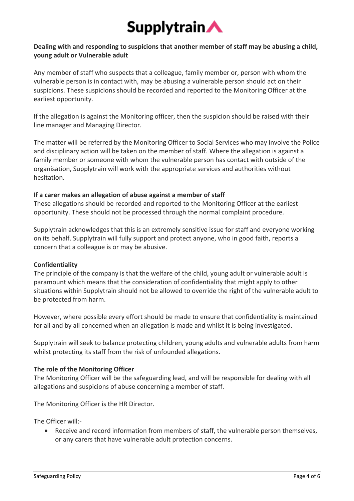

# **Dealing with and responding to suspicions that another member of staff may be abusing a child, young adult or Vulnerable adult**

Any member of staff who suspects that a colleague, family member or, person with whom the vulnerable person is in contact with, may be abusing a vulnerable person should act on their suspicions. These suspicions should be recorded and reported to the Monitoring Officer at the earliest opportunity.

If the allegation is against the Monitoring officer, then the suspicion should be raised with their line manager and Managing Director.

The matter will be referred by the Monitoring Officer to Social Services who may involve the Police and disciplinary action will be taken on the member of staff. Where the allegation is against a family member or someone with whom the vulnerable person has contact with outside of the organisation, Supplytrain will work with the appropriate services and authorities without hesitation.

# **If a carer makes an allegation of abuse against a member of staff**

These allegations should be recorded and reported to the Monitoring Officer at the earliest opportunity. These should not be processed through the normal complaint procedure.

Supplytrain acknowledges that this is an extremely sensitive issue for staff and everyone working on its behalf. Supplytrain will fully support and protect anyone, who in good faith, reports a concern that a colleague is or may be abusive.

# **Confidentiality**

The principle of the company is that the welfare of the child, young adult or vulnerable adult is paramount which means that the consideration of confidentiality that might apply to other situations within Supplytrain should not be allowed to override the right of the vulnerable adult to be protected from harm.

However, where possible every effort should be made to ensure that confidentiality is maintained for all and by all concerned when an allegation is made and whilst it is being investigated.

Supplytrain will seek to balance protecting children, young adults and vulnerable adults from harm whilst protecting its staff from the risk of unfounded allegations.

# **The role of the Monitoring Officer**

The Monitoring Officer will be the safeguarding lead, and will be responsible for dealing with all allegations and suspicions of abuse concerning a member of staff.

The Monitoring Officer is the HR Director.

The Officer will:-

• Receive and record information from members of staff, the vulnerable person themselves, or any carers that have vulnerable adult protection concerns.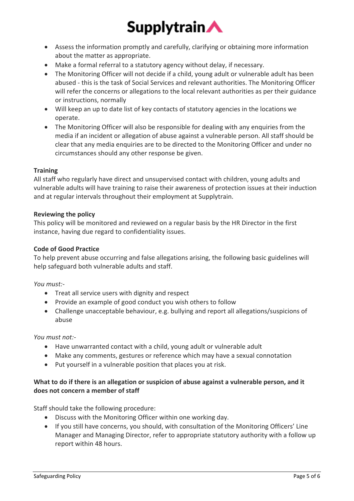# **Supplytrain**

- Assess the information promptly and carefully, clarifying or obtaining more information about the matter as appropriate.
- Make a formal referral to a statutory agency without delay, if necessary.
- The Monitoring Officer will not decide if a child, young adult or vulnerable adult has been abused - this is the task of Social Services and relevant authorities. The Monitoring Officer will refer the concerns or allegations to the local relevant authorities as per their guidance or instructions, normally
- Will keep an up to date list of key contacts of statutory agencies in the locations we operate.
- The Monitoring Officer will also be responsible for dealing with any enquiries from the media if an incident or allegation of abuse against a vulnerable person. All staff should be clear that any media enquiries are to be directed to the Monitoring Officer and under no circumstances should any other response be given.

# **Training**

All staff who regularly have direct and unsupervised contact with children, young adults and vulnerable adults will have training to raise their awareness of protection issues at their induction and at regular intervals throughout their employment at Supplytrain.

# **Reviewing the policy**

This policy will be monitored and reviewed on a regular basis by the HR Director in the first instance, having due regard to confidentiality issues.

# **Code of Good Practice**

To help prevent abuse occurring and false allegations arising, the following basic guidelines will help safeguard both vulnerable adults and staff.

# *You must:-*

- Treat all service users with dignity and respect
- Provide an example of good conduct you wish others to follow
- Challenge unacceptable behaviour, e.g. bullying and report all allegations/suspicions of abuse

# *You must not:-*

- Have unwarranted contact with a child, young adult or vulnerable adult
- Make any comments, gestures or reference which may have a sexual connotation
- Put yourself in a vulnerable position that places you at risk.

# **What to do if there is an allegation or suspicion of abuse against a vulnerable person, and it does not concern a member of staff**

Staff should take the following procedure:

- Discuss with the Monitoring Officer within one working day.
- If you still have concerns, you should, with consultation of the Monitoring Officers' Line Manager and Managing Director, refer to appropriate statutory authority with a follow up report within 48 hours.